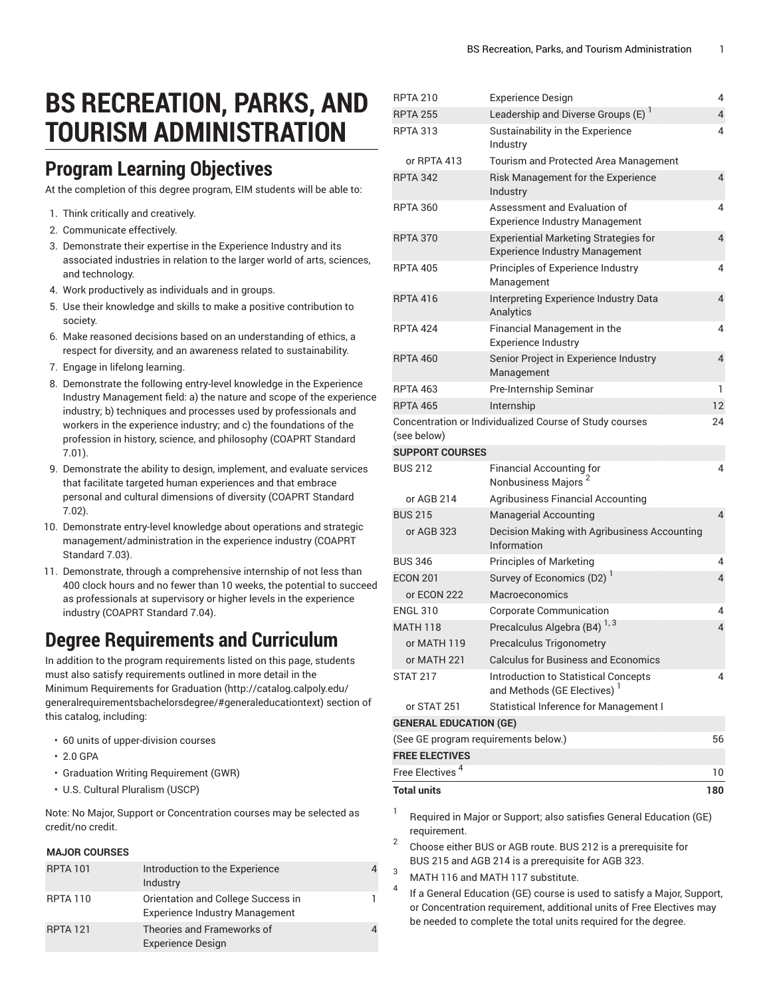# **BS RECREATION, PARKS, AND TOURISM ADMINISTRATION**

### **Program Learning Objectives**

At the completion of this degree program, EIM students will be able to:

- 1. Think critically and creatively.
- 2. Communicate effectively.
- 3. Demonstrate their expertise in the Experience Industry and its associated industries in relation to the larger world of arts, sciences, and technology.
- 4. Work productively as individuals and in groups.
- 5. Use their knowledge and skills to make a positive contribution to society.
- 6. Make reasoned decisions based on an understanding of ethics, a respect for diversity, and an awareness related to sustainability.
- 7. Engage in lifelong learning.
- 8. Demonstrate the following entry-level knowledge in the Experience Industry Management field: a) the nature and scope of the experience industry; b) techniques and processes used by professionals and workers in the experience industry; and c) the foundations of the profession in history, science, and philosophy (COAPRT Standard 7.01).
- 9. Demonstrate the ability to design, implement, and evaluate services that facilitate targeted human experiences and that embrace personal and cultural dimensions of diversity (COAPRT Standard 7.02).
- 10. Demonstrate entry-level knowledge about operations and strategic management/administration in the experience industry (COAPRT Standard 7.03).
- 11. Demonstrate, through a comprehensive internship of not less than 400 clock hours and no fewer than 10 weeks, the potential to succeed as professionals at supervisory or higher levels in the experience industry (COAPRT Standard 7.04).

### **Degree Requirements and Curriculum**

In addition to the program requirements listed on this page, students must also satisfy requirements outlined in more detail in the Minimum [Requirements](http://catalog.calpoly.edu/generalrequirementsbachelorsdegree/#generaleducationtext) for Graduation ([http://catalog.calpoly.edu/](http://catalog.calpoly.edu/generalrequirementsbachelorsdegree/#generaleducationtext) [generalrequirementsbachelorsdegree/#generaleducationtext\)](http://catalog.calpoly.edu/generalrequirementsbachelorsdegree/#generaleducationtext) section of this catalog, including:

- 60 units of upper-division courses
- 2.0 GPA
- Graduation Writing Requirement (GWR)
- U.S. Cultural Pluralism (USCP)

Note: No Major, Support or Concentration courses may be selected as credit/no credit.

#### **MAJOR COURSES**

| <b>RPTA 101</b> | Introduction to the Experience<br>Industry                                  |  |
|-----------------|-----------------------------------------------------------------------------|--|
| <b>RPTA 110</b> | Orientation and College Success in<br><b>Experience Industry Management</b> |  |
| <b>RPTA 121</b> | Theories and Frameworks of<br><b>Experience Design</b>                      |  |

| <b>RPTA 210</b>                            | <b>Experience Design</b>                                                              | 4   |  |
|--------------------------------------------|---------------------------------------------------------------------------------------|-----|--|
| <b>RPTA 255</b>                            | Leadership and Diverse Groups (E) <sup>1</sup>                                        | 4   |  |
| <b>RPTA 313</b>                            | Sustainability in the Experience<br>Industry                                          | 4   |  |
| or RPTA 413                                | Tourism and Protected Area Management                                                 |     |  |
| RPTA 342                                   | Risk Management for the Experience<br>Industry                                        | 4   |  |
| <b>RPTA 360</b>                            | Assessment and Evaluation of<br><b>Experience Industry Management</b>                 | 4   |  |
| <b>RPTA 370</b>                            | <b>Experiential Marketing Strategies for</b><br><b>Experience Industry Management</b> | 4   |  |
| <b>RPTA 405</b>                            | Principles of Experience Industry<br>Management                                       | 4   |  |
| <b>RPTA 416</b>                            | Interpreting Experience Industry Data<br>Analytics                                    | 4   |  |
| <b>RPTA 424</b>                            | Financial Management in the<br><b>Experience Industry</b>                             | 4   |  |
| <b>RPTA 460</b>                            | Senior Project in Experience Industry<br>Management                                   | 4   |  |
| <b>RPTA 463</b>                            | Pre-Internship Seminar                                                                | 1   |  |
| <b>RPTA 465</b>                            | Internship                                                                            | 12  |  |
| (see below)<br><b>SUPPORT COURSES</b>      | Concentration or Individualized Course of Study courses                               | 24  |  |
| <b>BUS 212</b>                             | <b>Financial Accounting for</b>                                                       | 4   |  |
|                                            | Nonbusiness Majors <sup>2</sup>                                                       |     |  |
| or AGB 214                                 | <b>Agribusiness Financial Accounting</b>                                              |     |  |
| <b>BUS 215</b>                             | <b>Managerial Accounting</b>                                                          | 4   |  |
| or AGB 323                                 | Decision Making with Agribusiness Accounting<br>Information                           |     |  |
| <b>BUS 346</b>                             | <b>Principles of Marketing</b>                                                        | 4   |  |
| <b>ECON 201</b>                            | Survey of Economics (D2)                                                              | 4   |  |
| or ECON 222                                | Macroeconomics                                                                        |     |  |
| <b>ENGL 310</b>                            | <b>Corporate Communication</b>                                                        | 4   |  |
| <b>MATH 118</b>                            | Precalculus Algebra (B4) <sup>1,3</sup>                                               | 4   |  |
| or MATH 119                                | Precalculus Trigonometry                                                              |     |  |
| or MATH 221                                | <b>Calculus for Business and Economics</b>                                            |     |  |
| <b>STAT 217</b>                            | Introduction to Statistical Concepts<br>and Methods (GE Electives) <sup>1</sup>       | 4   |  |
| or STAT 251                                | <b>Statistical Inference for Management I</b>                                         |     |  |
| <b>GENERAL EDUCATION (GE)</b>              |                                                                                       |     |  |
| (See GE program requirements below.)<br>56 |                                                                                       |     |  |
| <b>FREE ELECTIVES</b>                      |                                                                                       |     |  |
| Free Electives <sup>4</sup>                |                                                                                       | 10  |  |
| <b>Total units</b>                         |                                                                                       | 180 |  |
|                                            |                                                                                       |     |  |

- 1 Required in Major or Support; also satisfies General Education (GE) requirement.
- 2 Choose either BUS or AGB route. BUS 212 is a prerequisite for BUS 215 and AGB 214 is a prerequisite for AGB 323.
- <sup>3</sup> MATH 116 and MATH 117 substitute.
- 4 If a General Education (GE) course is used to satisfy a Major, Support, or Concentration requirement, additional units of Free Electives may be needed to complete the total units required for the degree.